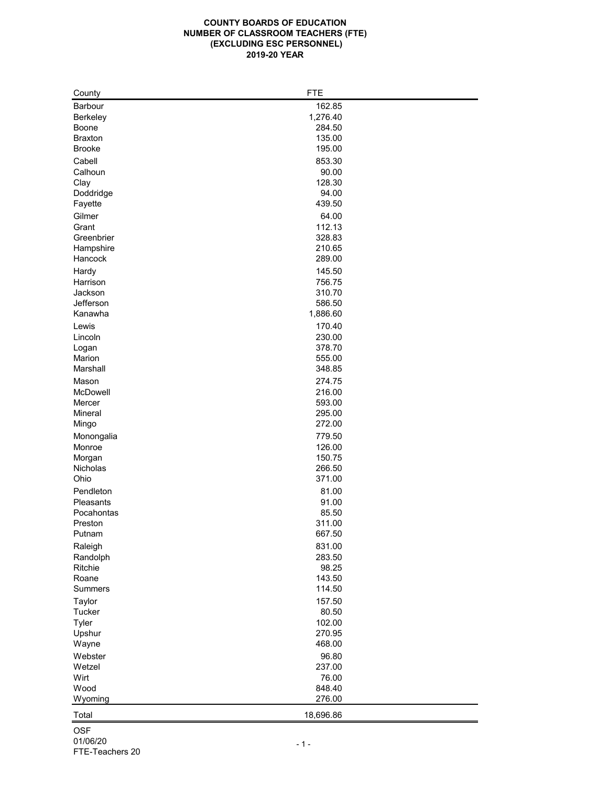# **COUNTY BOARDS OF EDUCATION NUMBER OF CLASSROOM TEACHERS (FTE) (EXCLUDING ESC PERSONNEL) 2019-20 YEAR**

| <b>Barbour</b><br>162.85<br>1,276.40<br><b>Berkeley</b><br>284.50<br><b>Boone</b><br>135.00<br><b>Braxton</b><br>195.00<br><b>Brooke</b><br>Cabell<br>853.30<br>Calhoun<br>90.00<br>128.30<br>Clay<br>94.00<br>Doddridge<br>439.50<br>Fayette<br>Gilmer<br>64.00<br>112.13<br>Grant<br>328.83<br>Greenbrier<br>Hampshire<br>210.65<br>289.00<br>Hancock<br>145.50<br>Hardy<br>756.75<br>Harrison<br>310.70<br>Jackson<br>Jefferson<br>586.50<br>1,886.60<br>Kanawha<br>170.40<br>Lewis<br>230.00<br>Lincoln<br>378.70<br>Logan<br>Marion<br>555.00<br>348.85<br>Marshall<br>274.75<br>Mason<br>216.00<br>McDowell<br>593.00<br>Mercer<br>295.00<br>Mineral<br>272.00<br>Mingo<br>779.50<br>Monongalia<br>126.00<br>Monroe<br>150.75<br>Morgan<br>266.50<br>Nicholas<br>Ohio<br>371.00<br>Pendleton<br>81.00<br>91.00<br>Pleasants<br>85.50<br>Pocahontas<br>311.00<br>Preston<br>Putnam<br>667.50<br>831.00<br>Raleigh<br>283.50<br>Randolph<br><b>Ritchie</b><br>98.25<br>143.50<br>Roane<br>114.50<br><b>Summers</b><br>157.50<br><b>Taylor</b><br>80.50<br><b>Tucker</b><br>102.00<br><b>Tyler</b><br>270.95<br>Upshur<br>468.00<br>Wayne<br>96.80<br>Webster<br>237.00<br>Wetzel<br>Wirt<br>76.00<br>Wood<br>848.40<br>276.00<br>Wyoming<br>18,696.86<br>Total | County     | <b>FTE</b> |
|--------------------------------------------------------------------------------------------------------------------------------------------------------------------------------------------------------------------------------------------------------------------------------------------------------------------------------------------------------------------------------------------------------------------------------------------------------------------------------------------------------------------------------------------------------------------------------------------------------------------------------------------------------------------------------------------------------------------------------------------------------------------------------------------------------------------------------------------------------------------------------------------------------------------------------------------------------------------------------------------------------------------------------------------------------------------------------------------------------------------------------------------------------------------------------------------------------------------------------------------------------------------|------------|------------|
|                                                                                                                                                                                                                                                                                                                                                                                                                                                                                                                                                                                                                                                                                                                                                                                                                                                                                                                                                                                                                                                                                                                                                                                                                                                                    |            |            |
|                                                                                                                                                                                                                                                                                                                                                                                                                                                                                                                                                                                                                                                                                                                                                                                                                                                                                                                                                                                                                                                                                                                                                                                                                                                                    |            |            |
|                                                                                                                                                                                                                                                                                                                                                                                                                                                                                                                                                                                                                                                                                                                                                                                                                                                                                                                                                                                                                                                                                                                                                                                                                                                                    |            |            |
|                                                                                                                                                                                                                                                                                                                                                                                                                                                                                                                                                                                                                                                                                                                                                                                                                                                                                                                                                                                                                                                                                                                                                                                                                                                                    |            |            |
|                                                                                                                                                                                                                                                                                                                                                                                                                                                                                                                                                                                                                                                                                                                                                                                                                                                                                                                                                                                                                                                                                                                                                                                                                                                                    |            |            |
|                                                                                                                                                                                                                                                                                                                                                                                                                                                                                                                                                                                                                                                                                                                                                                                                                                                                                                                                                                                                                                                                                                                                                                                                                                                                    |            |            |
|                                                                                                                                                                                                                                                                                                                                                                                                                                                                                                                                                                                                                                                                                                                                                                                                                                                                                                                                                                                                                                                                                                                                                                                                                                                                    |            |            |
|                                                                                                                                                                                                                                                                                                                                                                                                                                                                                                                                                                                                                                                                                                                                                                                                                                                                                                                                                                                                                                                                                                                                                                                                                                                                    |            |            |
|                                                                                                                                                                                                                                                                                                                                                                                                                                                                                                                                                                                                                                                                                                                                                                                                                                                                                                                                                                                                                                                                                                                                                                                                                                                                    |            |            |
|                                                                                                                                                                                                                                                                                                                                                                                                                                                                                                                                                                                                                                                                                                                                                                                                                                                                                                                                                                                                                                                                                                                                                                                                                                                                    |            |            |
|                                                                                                                                                                                                                                                                                                                                                                                                                                                                                                                                                                                                                                                                                                                                                                                                                                                                                                                                                                                                                                                                                                                                                                                                                                                                    |            |            |
|                                                                                                                                                                                                                                                                                                                                                                                                                                                                                                                                                                                                                                                                                                                                                                                                                                                                                                                                                                                                                                                                                                                                                                                                                                                                    |            |            |
|                                                                                                                                                                                                                                                                                                                                                                                                                                                                                                                                                                                                                                                                                                                                                                                                                                                                                                                                                                                                                                                                                                                                                                                                                                                                    |            |            |
|                                                                                                                                                                                                                                                                                                                                                                                                                                                                                                                                                                                                                                                                                                                                                                                                                                                                                                                                                                                                                                                                                                                                                                                                                                                                    |            |            |
|                                                                                                                                                                                                                                                                                                                                                                                                                                                                                                                                                                                                                                                                                                                                                                                                                                                                                                                                                                                                                                                                                                                                                                                                                                                                    |            |            |
|                                                                                                                                                                                                                                                                                                                                                                                                                                                                                                                                                                                                                                                                                                                                                                                                                                                                                                                                                                                                                                                                                                                                                                                                                                                                    |            |            |
|                                                                                                                                                                                                                                                                                                                                                                                                                                                                                                                                                                                                                                                                                                                                                                                                                                                                                                                                                                                                                                                                                                                                                                                                                                                                    |            |            |
|                                                                                                                                                                                                                                                                                                                                                                                                                                                                                                                                                                                                                                                                                                                                                                                                                                                                                                                                                                                                                                                                                                                                                                                                                                                                    |            |            |
|                                                                                                                                                                                                                                                                                                                                                                                                                                                                                                                                                                                                                                                                                                                                                                                                                                                                                                                                                                                                                                                                                                                                                                                                                                                                    |            |            |
|                                                                                                                                                                                                                                                                                                                                                                                                                                                                                                                                                                                                                                                                                                                                                                                                                                                                                                                                                                                                                                                                                                                                                                                                                                                                    |            |            |
|                                                                                                                                                                                                                                                                                                                                                                                                                                                                                                                                                                                                                                                                                                                                                                                                                                                                                                                                                                                                                                                                                                                                                                                                                                                                    |            |            |
|                                                                                                                                                                                                                                                                                                                                                                                                                                                                                                                                                                                                                                                                                                                                                                                                                                                                                                                                                                                                                                                                                                                                                                                                                                                                    |            |            |
|                                                                                                                                                                                                                                                                                                                                                                                                                                                                                                                                                                                                                                                                                                                                                                                                                                                                                                                                                                                                                                                                                                                                                                                                                                                                    |            |            |
|                                                                                                                                                                                                                                                                                                                                                                                                                                                                                                                                                                                                                                                                                                                                                                                                                                                                                                                                                                                                                                                                                                                                                                                                                                                                    |            |            |
|                                                                                                                                                                                                                                                                                                                                                                                                                                                                                                                                                                                                                                                                                                                                                                                                                                                                                                                                                                                                                                                                                                                                                                                                                                                                    |            |            |
|                                                                                                                                                                                                                                                                                                                                                                                                                                                                                                                                                                                                                                                                                                                                                                                                                                                                                                                                                                                                                                                                                                                                                                                                                                                                    |            |            |
|                                                                                                                                                                                                                                                                                                                                                                                                                                                                                                                                                                                                                                                                                                                                                                                                                                                                                                                                                                                                                                                                                                                                                                                                                                                                    |            |            |
|                                                                                                                                                                                                                                                                                                                                                                                                                                                                                                                                                                                                                                                                                                                                                                                                                                                                                                                                                                                                                                                                                                                                                                                                                                                                    |            |            |
|                                                                                                                                                                                                                                                                                                                                                                                                                                                                                                                                                                                                                                                                                                                                                                                                                                                                                                                                                                                                                                                                                                                                                                                                                                                                    |            |            |
|                                                                                                                                                                                                                                                                                                                                                                                                                                                                                                                                                                                                                                                                                                                                                                                                                                                                                                                                                                                                                                                                                                                                                                                                                                                                    |            |            |
|                                                                                                                                                                                                                                                                                                                                                                                                                                                                                                                                                                                                                                                                                                                                                                                                                                                                                                                                                                                                                                                                                                                                                                                                                                                                    |            |            |
|                                                                                                                                                                                                                                                                                                                                                                                                                                                                                                                                                                                                                                                                                                                                                                                                                                                                                                                                                                                                                                                                                                                                                                                                                                                                    |            |            |
|                                                                                                                                                                                                                                                                                                                                                                                                                                                                                                                                                                                                                                                                                                                                                                                                                                                                                                                                                                                                                                                                                                                                                                                                                                                                    |            |            |
|                                                                                                                                                                                                                                                                                                                                                                                                                                                                                                                                                                                                                                                                                                                                                                                                                                                                                                                                                                                                                                                                                                                                                                                                                                                                    |            |            |
|                                                                                                                                                                                                                                                                                                                                                                                                                                                                                                                                                                                                                                                                                                                                                                                                                                                                                                                                                                                                                                                                                                                                                                                                                                                                    |            |            |
|                                                                                                                                                                                                                                                                                                                                                                                                                                                                                                                                                                                                                                                                                                                                                                                                                                                                                                                                                                                                                                                                                                                                                                                                                                                                    |            |            |
|                                                                                                                                                                                                                                                                                                                                                                                                                                                                                                                                                                                                                                                                                                                                                                                                                                                                                                                                                                                                                                                                                                                                                                                                                                                                    |            |            |
|                                                                                                                                                                                                                                                                                                                                                                                                                                                                                                                                                                                                                                                                                                                                                                                                                                                                                                                                                                                                                                                                                                                                                                                                                                                                    |            |            |
|                                                                                                                                                                                                                                                                                                                                                                                                                                                                                                                                                                                                                                                                                                                                                                                                                                                                                                                                                                                                                                                                                                                                                                                                                                                                    |            |            |
|                                                                                                                                                                                                                                                                                                                                                                                                                                                                                                                                                                                                                                                                                                                                                                                                                                                                                                                                                                                                                                                                                                                                                                                                                                                                    |            |            |
|                                                                                                                                                                                                                                                                                                                                                                                                                                                                                                                                                                                                                                                                                                                                                                                                                                                                                                                                                                                                                                                                                                                                                                                                                                                                    |            |            |
|                                                                                                                                                                                                                                                                                                                                                                                                                                                                                                                                                                                                                                                                                                                                                                                                                                                                                                                                                                                                                                                                                                                                                                                                                                                                    |            |            |
|                                                                                                                                                                                                                                                                                                                                                                                                                                                                                                                                                                                                                                                                                                                                                                                                                                                                                                                                                                                                                                                                                                                                                                                                                                                                    |            |            |
|                                                                                                                                                                                                                                                                                                                                                                                                                                                                                                                                                                                                                                                                                                                                                                                                                                                                                                                                                                                                                                                                                                                                                                                                                                                                    |            |            |
|                                                                                                                                                                                                                                                                                                                                                                                                                                                                                                                                                                                                                                                                                                                                                                                                                                                                                                                                                                                                                                                                                                                                                                                                                                                                    |            |            |
|                                                                                                                                                                                                                                                                                                                                                                                                                                                                                                                                                                                                                                                                                                                                                                                                                                                                                                                                                                                                                                                                                                                                                                                                                                                                    |            |            |
|                                                                                                                                                                                                                                                                                                                                                                                                                                                                                                                                                                                                                                                                                                                                                                                                                                                                                                                                                                                                                                                                                                                                                                                                                                                                    |            |            |
|                                                                                                                                                                                                                                                                                                                                                                                                                                                                                                                                                                                                                                                                                                                                                                                                                                                                                                                                                                                                                                                                                                                                                                                                                                                                    |            |            |
|                                                                                                                                                                                                                                                                                                                                                                                                                                                                                                                                                                                                                                                                                                                                                                                                                                                                                                                                                                                                                                                                                                                                                                                                                                                                    |            |            |
|                                                                                                                                                                                                                                                                                                                                                                                                                                                                                                                                                                                                                                                                                                                                                                                                                                                                                                                                                                                                                                                                                                                                                                                                                                                                    |            |            |
|                                                                                                                                                                                                                                                                                                                                                                                                                                                                                                                                                                                                                                                                                                                                                                                                                                                                                                                                                                                                                                                                                                                                                                                                                                                                    |            |            |
|                                                                                                                                                                                                                                                                                                                                                                                                                                                                                                                                                                                                                                                                                                                                                                                                                                                                                                                                                                                                                                                                                                                                                                                                                                                                    |            |            |
|                                                                                                                                                                                                                                                                                                                                                                                                                                                                                                                                                                                                                                                                                                                                                                                                                                                                                                                                                                                                                                                                                                                                                                                                                                                                    |            |            |
|                                                                                                                                                                                                                                                                                                                                                                                                                                                                                                                                                                                                                                                                                                                                                                                                                                                                                                                                                                                                                                                                                                                                                                                                                                                                    |            |            |
|                                                                                                                                                                                                                                                                                                                                                                                                                                                                                                                                                                                                                                                                                                                                                                                                                                                                                                                                                                                                                                                                                                                                                                                                                                                                    |            |            |
|                                                                                                                                                                                                                                                                                                                                                                                                                                                                                                                                                                                                                                                                                                                                                                                                                                                                                                                                                                                                                                                                                                                                                                                                                                                                    |            |            |
|                                                                                                                                                                                                                                                                                                                                                                                                                                                                                                                                                                                                                                                                                                                                                                                                                                                                                                                                                                                                                                                                                                                                                                                                                                                                    |            |            |
|                                                                                                                                                                                                                                                                                                                                                                                                                                                                                                                                                                                                                                                                                                                                                                                                                                                                                                                                                                                                                                                                                                                                                                                                                                                                    |            |            |
|                                                                                                                                                                                                                                                                                                                                                                                                                                                                                                                                                                                                                                                                                                                                                                                                                                                                                                                                                                                                                                                                                                                                                                                                                                                                    |            |            |
|                                                                                                                                                                                                                                                                                                                                                                                                                                                                                                                                                                                                                                                                                                                                                                                                                                                                                                                                                                                                                                                                                                                                                                                                                                                                    |            |            |
|                                                                                                                                                                                                                                                                                                                                                                                                                                                                                                                                                                                                                                                                                                                                                                                                                                                                                                                                                                                                                                                                                                                                                                                                                                                                    | <b>OSF</b> |            |

01/06/20 FTE-Teachers 20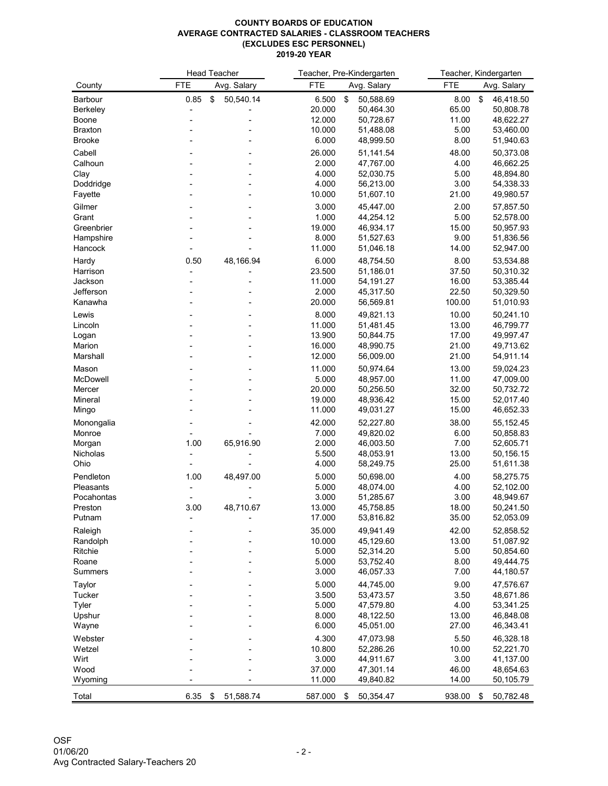# **COUNTY BOARDS OF EDUCATION AVERAGE CONTRACTED SALARIES - CLASSROOM TEACHERS (EXCLUDES ESC PERSONNEL) 2019-20 YEAR**

|                         | <b>Head Teacher</b>               |             | Teacher, Pre-Kindergarten |                        | Teacher, Kindergarten |                |                        |
|-------------------------|-----------------------------------|-------------|---------------------------|------------------------|-----------------------|----------------|------------------------|
| County                  | <b>FTE</b>                        | Avg. Salary | <b>FTE</b>                | Avg. Salary            | <b>FTE</b>            |                | Avg. Salary            |
| <b>Barbour</b>          | $\boldsymbol{\mathsf{S}}$<br>0.85 | 50,540.14   | 6.500                     | 50,588.69<br>\$        | 8.00                  | $\mathfrak{P}$ | 46,418.50              |
| <b>Berkeley</b>         |                                   |             | 20.000                    | 50,464.30              | 65.00                 |                | 50,808.78              |
| <b>Boone</b>            |                                   |             | 12.000                    | 50,728.67              | 11.00                 |                | 48,622.27              |
| <b>Braxton</b>          |                                   |             | 10.000                    | 51,488.08              | 5.00                  |                | 53,460.00              |
| <b>Brooke</b>           |                                   |             | 6.000                     | 48,999.50              | 8.00                  |                | 51,940.63              |
| Cabell                  |                                   |             | 26.000                    | 51,141.54              | 48.00                 |                | 50,373.08              |
| Calhoun                 |                                   |             | 2.000                     | 47,767.00              | 4.00                  |                | 46,662.25              |
| Clay                    |                                   |             | 4.000                     | 52,030.75              | 5.00                  |                | 48,894.80              |
| Doddridge               |                                   |             | 4.000                     | 56,213.00              | 3.00                  |                | 54,338.33              |
| Fayette                 |                                   |             | 10.000                    | 51,607.10              | 21.00                 |                | 49,980.57              |
| Gilmer                  |                                   |             | 3.000                     | 45,447.00              | 2.00                  |                | 57,857.50              |
| Grant                   |                                   |             | 1.000                     | 44,254.12              | 5.00                  |                | 52,578.00              |
| Greenbrier              |                                   |             | 19.000                    | 46,934.17              | 15.00                 |                | 50,957.93              |
| Hampshire               |                                   |             | 8.000                     | 51,527.63              | 9.00                  |                | 51,836.56              |
| Hancock                 |                                   |             | 11.000                    | 51,046.18              | 14.00                 |                | 52,947.00              |
| Hardy                   | 0.50                              | 48,166.94   | 6.000                     | 48,754.50              | 8.00                  |                | 53,534.88              |
| Harrison                |                                   |             | 23.500                    | 51,186.01              | 37.50                 |                | 50,310.32              |
| Jackson<br>Jefferson    |                                   |             | 11.000<br>2.000           | 54,191.27<br>45,317.50 | 16.00<br>22.50        |                | 53,385.44<br>50,329.50 |
| Kanawha                 |                                   |             | 20.000                    | 56,569.81              | 100.00                |                | 51,010.93              |
|                         |                                   |             |                           |                        |                       |                |                        |
| Lewis<br>Lincoln        |                                   |             | 8.000<br>11.000           | 49,821.13<br>51,481.45 | 10.00<br>13.00        |                | 50,241.10<br>46,799.77 |
| Logan                   |                                   |             | 13.900                    | 50,844.75              | 17.00                 |                | 49,997.47              |
| Marion                  |                                   |             | 16.000                    | 48,990.75              | 21.00                 |                | 49,713.62              |
| Marshall                |                                   |             | 12.000                    | 56,009.00              | 21.00                 |                | 54,911.14              |
| Mason                   |                                   |             | 11.000                    | 50,974.64              | 13.00                 |                | 59,024.23              |
| McDowell                |                                   |             | 5.000                     | 48,957.00              | 11.00                 |                | 47,009.00              |
| Mercer                  |                                   |             | 20.000                    | 50,256.50              | 32.00                 |                | 50,732.72              |
| Mineral                 |                                   |             | 19.000                    | 48,936.42              | 15.00                 |                | 52,017.40              |
| Mingo                   |                                   |             | 11.000                    | 49,031.27              | 15.00                 |                | 46,652.33              |
| Monongalia              |                                   |             | 42.000                    | 52,227.80              | 38.00                 |                | 55,152.45              |
| Monroe                  |                                   |             | 7.000                     | 49,820.02              | 6.00                  |                | 50,858.83              |
| Morgan                  | 1.00                              | 65,916.90   | 2.000                     | 46,003.50              | 7.00                  |                | 52,605.71              |
| Nicholas                |                                   |             | 5.500<br>4.000            | 48,053.91              | 13.00<br>25.00        |                | 50,156.15              |
| Ohio                    |                                   |             |                           | 58,249.75              |                       |                | 51,611.38              |
| Pendleton               | 1.00                              | 48,497.00   | 5.000                     | 50,698.00              | 4.00                  |                | 58,275.75              |
| Pleasants<br>Pocahontas |                                   |             | 5.000<br>3.000            | 48,074.00<br>51,285.67 | 4.00<br>3.00          |                | 52,102.00<br>48,949.67 |
| Preston                 | 3.00                              | 48,710.67   | 13.000                    | 45,758.85              | 18.00                 |                | 50,241.50              |
| Putnam                  |                                   |             | 17.000                    | 53,816.82              | 35.00                 |                | 52,053.09              |
| Raleigh                 |                                   |             | 35.000                    | 49,941.49              | 42.00                 |                | 52,858.52              |
| Randolph                |                                   |             | 10.000                    | 45,129.60              | 13.00                 |                | 51,087.92              |
| Ritchie                 |                                   |             | 5.000                     | 52,314.20              | 5.00                  |                | 50,854.60              |
| Roane                   |                                   |             | 5.000                     | 53,752.40              | 8.00                  |                | 49,444.75              |
| <b>Summers</b>          |                                   |             | 3.000                     | 46,057.33              | 7.00                  |                | 44,180.57              |
| Taylor                  |                                   |             | 5.000                     | 44,745.00              | 9.00                  |                | 47,576.67              |
| <b>Tucker</b>           |                                   |             | 3.500                     | 53,473.57              | 3.50                  |                | 48,671.86              |
| <b>Tyler</b>            |                                   |             | 5.000                     | 47,579.80              | 4.00                  |                | 53,341.25              |
| Upshur                  |                                   |             | 8.000                     | 48,122.50              | 13.00                 |                | 46,848.08              |
| Wayne                   |                                   |             | 6.000                     | 45,051.00              | 27.00                 |                | 46,343.41              |
| Webster                 |                                   |             | 4.300                     | 47,073.98              | 5.50                  |                | 46,328.18              |
| Wetzel                  |                                   |             | 10.800                    | 52,286.26              | 10.00                 |                | 52,221.70              |
| Wirt                    |                                   |             | 3.000                     | 44,911.67              | 3.00                  |                | 41,137.00              |
| Wood                    |                                   |             | 37.000                    | 47,301.14              | 46.00                 |                | 48,654.63              |
| Wyoming                 |                                   |             | 11.000                    | 49,840.82              | 14.00                 |                | 50,105.79              |
| Total                   | 6.35<br>\$                        | 51,588.74   | 587.000                   | 50,354.47<br>\$        | 938.00                | \$             | 50,782.48              |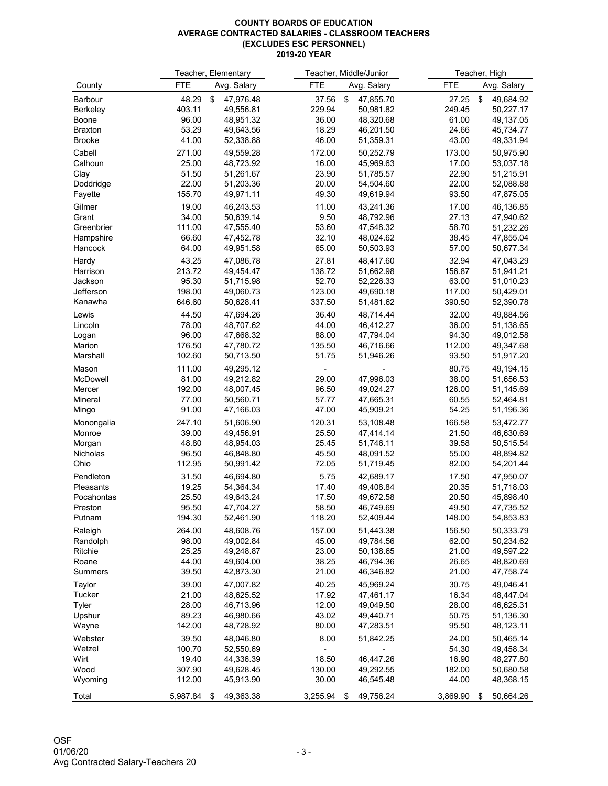# **COUNTY BOARDS OF EDUCATION AVERAGE CONTRACTED SALARIES - CLASSROOM TEACHERS (EXCLUDES ESC PERSONNEL) 2019-20 YEAR**

|                     | Teacher, Elementary |    | Teacher, Middle/Junior |            |                            | Teacher, High          |  |            |    |             |
|---------------------|---------------------|----|------------------------|------------|----------------------------|------------------------|--|------------|----|-------------|
| County              | <b>FTE</b>          |    | Avg. Salary            | <b>FTE</b> |                            | Avg. Salary            |  | <b>FTE</b> |    | Avg. Salary |
| Barbour             | 48.29               | \$ | 47,976.48              | 37.56      | $\boldsymbol{\mathsf{\$}}$ | 47,855.70              |  | 27.25      | \$ | 49,684.92   |
| <b>Berkeley</b>     | 403.11              |    | 49,556.81              | 229.94     |                            | 50,981.82              |  | 249.45     |    | 50,227.17   |
| <b>Boone</b>        | 96.00               |    | 48,951.32              | 36.00      |                            | 48,320.68              |  | 61.00      |    | 49,137.05   |
| <b>Braxton</b>      | 53.29               |    | 49,643.56              | 18.29      |                            | 46,201.50              |  | 24.66      |    | 45,734.77   |
| <b>Brooke</b>       | 41.00               |    | 52,338.88              | 46.00      |                            | 51,359.31              |  | 43.00      |    | 49,331.94   |
| Cabell              | 271.00              |    | 49,559.28              | 172.00     |                            | 50,252.79              |  | 173.00     |    | 50,975.90   |
| Calhoun             | 25.00               |    | 48,723.92              | 16.00      |                            | 45,969.63              |  | 17.00      |    | 53,037.18   |
| Clay                | 51.50               |    | 51,261.67              | 23.90      |                            | 51,785.57              |  | 22.90      |    | 51,215.91   |
| Doddridge           | 22.00               |    | 51,203.36              | 20.00      |                            | 54,504.60              |  | 22.00      |    | 52,088.88   |
| Fayette             | 155.70              |    | 49,971.11              | 49.30      |                            | 49,619.94              |  | 93.50      |    | 47,875.05   |
| Gilmer              | 19.00               |    | 46,243.53              | 11.00      |                            | 43,241.36              |  | 17.00      |    | 46,136.85   |
| Grant               | 34.00               |    | 50,639.14              | 9.50       |                            | 48,792.96              |  | 27.13      |    | 47,940.62   |
| Greenbrier          | 111.00              |    | 47,555.40              | 53.60      |                            | 47,548.32              |  | 58.70      |    | 51,232.26   |
| Hampshire           | 66.60               |    | 47,452.78              | 32.10      |                            | 48,024.62              |  | 38.45      |    | 47,855.04   |
| Hancock             | 64.00               |    | 49,951.58              | 65.00      |                            | 50,503.93              |  | 57.00      |    | 50,677.34   |
| Hardy               | 43.25               |    | 47,086.78              | 27.81      |                            | 48,417.60              |  | 32.94      |    | 47,043.29   |
| Harrison            | 213.72              |    | 49,454.47              | 138.72     |                            | 51,662.98              |  | 156.87     |    | 51,941.21   |
| Jackson             | 95.30               |    | 51,715.98              | 52.70      |                            | 52,226.33              |  | 63.00      |    | 51,010.23   |
| Jefferson           | 198.00              |    | 49,060.73              | 123.00     |                            | 49,690.18              |  | 117.00     |    | 50,429.01   |
| Kanawha             | 646.60              |    | 50,628.41              | 337.50     |                            | 51,481.62              |  | 390.50     |    | 52,390.78   |
|                     |                     |    |                        |            |                            |                        |  |            |    |             |
| Lewis               | 44.50               |    | 47,694.26              | 36.40      |                            | 48,714.44              |  | 32.00      |    | 49,884.56   |
| Lincoln             | 78.00               |    | 48,707.62              | 44.00      |                            | 46,412.27              |  | 36.00      |    | 51,138.65   |
| Logan               | 96.00               |    | 47,668.32              | 88.00      |                            | 47,794.04              |  | 94.30      |    | 49,012.58   |
| Marion              | 176.50              |    | 47,780.72              | 135.50     |                            | 46,716.66              |  | 112.00     |    | 49,347.68   |
| Marshall            | 102.60              |    | 50,713.50              | 51.75      |                            | 51,946.26              |  | 93.50      |    | 51,917.20   |
| Mason               | 111.00              |    | 49,295.12              |            |                            |                        |  | 80.75      |    | 49,194.15   |
| McDowell            | 81.00               |    | 49,212.82              | 29.00      |                            | 47,996.03              |  | 38.00      |    | 51,656.53   |
| Mercer              | 192.00              |    | 48,007.45              | 96.50      |                            | 49,024.27              |  | 126.00     |    | 51,145.69   |
| Mineral             | 77.00               |    | 50,560.71              | 57.77      |                            | 47,665.31              |  | 60.55      |    | 52,464.81   |
| Mingo               | 91.00               |    | 47,166.03              | 47.00      |                            | 45,909.21              |  | 54.25      |    | 51,196.36   |
| Monongalia          | 247.10              |    | 51,606.90              | 120.31     |                            | 53,108.48              |  | 166.58     |    | 53,472.77   |
| Monroe              | 39.00               |    | 49,456.91              | 25.50      |                            | 47,414.14              |  | 21.50      |    | 46,630.69   |
| Morgan              | 48.80               |    | 48,954.03              | 25.45      |                            | 51,746.11              |  | 39.58      |    | 50,515.54   |
| Nicholas            | 96.50               |    | 46,848.80              | 45.50      |                            | 48,091.52              |  | 55.00      |    | 48,894.82   |
| Ohio                | 112.95              |    | 50,991.42              | 72.05      |                            | 51,719.45              |  | 82.00      |    | 54,201.44   |
| Pendleton           | 31.50               |    | 46,694.80              | 5.75       |                            | 42,689.17              |  | 17.50      |    | 47,950.07   |
| <b>Pleasants</b>    | 19.25               |    | 54,364.34              | 17.40      |                            | 49,408.84              |  | 20.35      |    | 51,718.03   |
| Pocahontas          | 25.50               |    | 49,643.24              | 17.50      |                            | 49,672.58              |  | 20.50      |    | 45,898.40   |
| Preston             | 95.50               |    | 47,704.27              | 58.50      |                            | 46,749.69              |  | 49.50      |    | 47,735.52   |
| Putnam              | 194.30              |    | 52,461.90              | 118.20     |                            | 52,409.44              |  | 148.00     |    | 54,853.83   |
|                     | 264.00              |    | 48,608.76              | 157.00     |                            | 51,443.38              |  | 156.50     |    | 50,333.79   |
| Raleigh             | 98.00               |    | 49,002.84              | 45.00      |                            | 49,784.56              |  | 62.00      |    | 50,234.62   |
| Randolph<br>Ritchie | 25.25               |    | 49,248.87              | 23.00      |                            | 50,138.65              |  | 21.00      |    | 49,597.22   |
| Roane               | 44.00               |    | 49,604.00              | 38.25      |                            |                        |  | 26.65      |    | 48,820.69   |
| <b>Summers</b>      | 39.50               |    | 42,873.30              | 21.00      |                            | 46,794.36<br>46,346.82 |  | 21.00      |    | 47,758.74   |
|                     |                     |    |                        |            |                            |                        |  |            |    |             |
| Taylor              | 39.00               |    | 47,007.82              | 40.25      |                            | 45,969.24              |  | 30.75      |    | 49,046.41   |
| <b>Tucker</b>       | 21.00               |    | 48,625.52              | 17.92      |                            | 47,461.17              |  | 16.34      |    | 48,447.04   |
| Tyler               | 28.00               |    | 46,713.96              | 12.00      |                            | 49,049.50              |  | 28.00      |    | 46,625.31   |
| Upshur              | 89.23               |    | 46,980.66              | 43.02      |                            | 49,440.71              |  | 50.75      |    | 51,136.30   |
| Wayne               | 142.00              |    | 48,728.92              | 80.00      |                            | 47,283.51              |  | 95.50      |    | 48,123.11   |
| Webster             | 39.50               |    | 48,046.80              | 8.00       |                            | 51,842.25              |  | 24.00      |    | 50,465.14   |
| Wetzel              | 100.70              |    | 52,550.69              |            |                            |                        |  | 54.30      |    | 49,458.34   |
| Wirt                | 19.40               |    | 44,336.39              | 18.50      |                            | 46,447.26              |  | 16.90      |    | 48,277.80   |
| Wood                | 307.90              |    | 49,628.45              | 130.00     |                            | 49,292.55              |  | 182.00     |    | 50,680.58   |
| Wyoming             | 112.00              |    | 45,913.90              | 30.00      |                            | 46,545.48              |  | 44.00      |    | 48,368.15   |
|                     |                     |    |                        |            |                            |                        |  |            |    |             |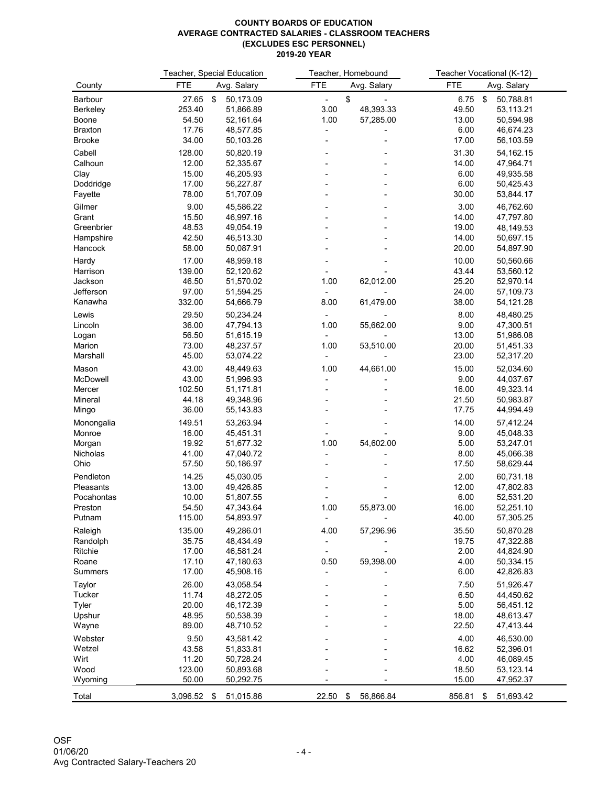# **COUNTY BOARDS OF EDUCATION AVERAGE CONTRACTED SALARIES - CLASSROOM TEACHERS (EXCLUDES ESC PERSONNEL) 2019-20 YEAR**

|                    |            | <b>Teacher, Special Education</b> | Teacher, Homebound |                 |            | Teacher Vocational (K-12)   |  |  |
|--------------------|------------|-----------------------------------|--------------------|-----------------|------------|-----------------------------|--|--|
| County             | <b>FTE</b> | Avg. Salary                       | <b>FTE</b>         | Avg. Salary     | <b>FTE</b> | Avg. Salary                 |  |  |
| Barbour            | 27.65      | 50,173.09<br>\$                   | $\blacksquare$     | \$              | 6.75       | 50,788.81<br>$\mathfrak{F}$ |  |  |
| <b>Berkeley</b>    | 253.40     | 51,866.89                         | 3.00               | 48,393.33       | 49.50      | 53,113.21                   |  |  |
| <b>Boone</b>       | 54.50      | 52,161.64                         | 1.00               | 57,285.00       | 13.00      | 50,594.98                   |  |  |
| <b>Braxton</b>     | 17.76      | 48,577.85                         |                    |                 | 6.00       | 46,674.23                   |  |  |
| <b>Brooke</b>      | 34.00      | 50,103.26                         |                    |                 | 17.00      | 56,103.59                   |  |  |
| Cabell             | 128.00     | 50,820.19                         |                    |                 | 31.30      | 54,162.15                   |  |  |
| Calhoun            | 12.00      | 52,335.67                         |                    |                 | 14.00      | 47,964.71                   |  |  |
| Clay               | 15.00      | 46,205.93                         |                    |                 | 6.00       | 49,935.58                   |  |  |
| Doddridge          | 17.00      | 56,227.87                         |                    |                 | 6.00       | 50,425.43                   |  |  |
| Fayette            | 78.00      | 51,707.09                         |                    |                 | 30.00      | 53,844.17                   |  |  |
| Gilmer             | 9.00       | 45,586.22                         |                    |                 | 3.00       | 46,762.60                   |  |  |
| Grant              | 15.50      | 46,997.16                         |                    |                 | 14.00      | 47,797.80                   |  |  |
| Greenbrier         | 48.53      | 49,054.19                         |                    |                 | 19.00      | 48,149.53                   |  |  |
| Hampshire          | 42.50      | 46,513.30                         |                    |                 | 14.00      | 50,697.15                   |  |  |
| Hancock            | 58.00      | 50,087.91                         |                    |                 | 20.00      | 54,897.90                   |  |  |
|                    |            |                                   |                    |                 |            |                             |  |  |
| Hardy              | 17.00      | 48,959.18                         |                    |                 | 10.00      | 50,560.66                   |  |  |
| Harrison           | 139.00     | 52,120.62                         |                    |                 | 43.44      | 53,560.12                   |  |  |
| Jackson            | 46.50      | 51,570.02                         | 1.00               | 62,012.00       | 25.20      | 52,970.14                   |  |  |
| Jefferson          | 97.00      | 51,594.25                         |                    |                 | 24.00      | 57,109.73                   |  |  |
| Kanawha            | 332.00     | 54,666.79                         | 8.00               | 61,479.00       | 38.00      | 54,121.28                   |  |  |
| Lewis              | 29.50      | 50,234.24                         |                    |                 | 8.00       | 48,480.25                   |  |  |
| Lincoln            | 36.00      | 47,794.13                         | 1.00               | 55,662.00       | 9.00       | 47,300.51                   |  |  |
| Logan              | 56.50      | 51,615.19                         |                    |                 | 13.00      | 51,986.08                   |  |  |
| Marion             | 73.00      | 48,237.57                         | 1.00               | 53,510.00       | 20.00      | 51,451.33                   |  |  |
| Marshall           | 45.00      | 53,074.22                         |                    |                 | 23.00      | 52,317.20                   |  |  |
| Mason              | 43.00      | 48,449.63                         | 1.00               | 44,661.00       | 15.00      | 52,034.60                   |  |  |
| McDowell           | 43.00      | 51,996.93                         |                    |                 | 9.00       | 44,037.67                   |  |  |
| Mercer             | 102.50     | 51,171.81                         |                    |                 | 16.00      | 49,323.14                   |  |  |
| <b>Mineral</b>     | 44.18      | 49,348.96                         |                    |                 | 21.50      | 50,983.87                   |  |  |
| Mingo              | 36.00      | 55,143.83                         |                    |                 | 17.75      | 44,994.49                   |  |  |
| Monongalia         | 149.51     | 53,263.94                         |                    |                 | 14.00      | 57,412.24                   |  |  |
|                    | 16.00      | 45,451.31                         |                    |                 | 9.00       | 45,048.33                   |  |  |
| Monroe             | 19.92      |                                   |                    |                 | 5.00       |                             |  |  |
| Morgan<br>Nicholas | 41.00      | 51,677.32<br>47,040.72            | 1.00               | 54,602.00       | 8.00       | 53,247.01                   |  |  |
|                    | 57.50      |                                   |                    |                 |            | 45,066.38<br>58,629.44      |  |  |
| Ohio               |            | 50,186.97                         |                    |                 | 17.50      |                             |  |  |
| Pendleton          | 14.25      | 45,030.05                         |                    |                 | 2.00       | 60,731.18                   |  |  |
| Pleasants          | 13.00      | 49,426.85                         |                    |                 | 12.00      | 47,802.83                   |  |  |
| Pocahontas         | 10.00      | 51,807.55                         |                    |                 | 6.00       | 52,531.20                   |  |  |
| Preston            | 54.50      | 47,343.64                         | 1.00               | 55,873.00       | 16.00      | 52,251.10                   |  |  |
| Putnam             | 115.00     | 54,893.97                         |                    |                 | 40.00      | 57,305.25                   |  |  |
| Raleigh            | 135.00     | 49,286.01                         | 4.00               | 57,296.96       | 35.50      | 50,870.28                   |  |  |
| Randolph           | 35.75      | 48,434.49                         |                    |                 | 19.75      | 47,322.88                   |  |  |
| <b>Ritchie</b>     | 17.00      | 46,581.24                         |                    |                 | 2.00       | 44,824.90                   |  |  |
| Roane              | 17.10      | 47,180.63                         | 0.50               | 59,398.00       | 4.00       | 50,334.15                   |  |  |
| <b>Summers</b>     | 17.00      | 45,908.16                         |                    |                 | 6.00       | 42,826.83                   |  |  |
| Taylor             | 26.00      | 43,058.54                         |                    |                 | 7.50       | 51,926.47                   |  |  |
| <b>Tucker</b>      | 11.74      | 48,272.05                         |                    |                 | 6.50       | 44,450.62                   |  |  |
| <b>Tyler</b>       | 20.00      | 46,172.39                         |                    |                 | 5.00       | 56,451.12                   |  |  |
| Upshur             | 48.95      | 50,538.39                         |                    |                 | 18.00      | 48,613.47                   |  |  |
| Wayne              | 89.00      | 48,710.52                         |                    |                 | 22.50      | 47,413.44                   |  |  |
|                    |            |                                   |                    |                 |            |                             |  |  |
| Webster            | 9.50       | 43,581.42                         |                    |                 | 4.00       | 46,530.00                   |  |  |
| Wetzel             | 43.58      | 51,833.81                         |                    |                 | 16.62      | 52,396.01                   |  |  |
| Wirt               | 11.20      | 50,728.24                         |                    |                 | 4.00       | 46,089.45                   |  |  |
| Wood               | 123.00     | 50,893.68                         |                    |                 | 18.50      | 53,123.14                   |  |  |
| Wyoming            | 50.00      | 50,292.75                         |                    |                 | 15.00      | 47,952.37                   |  |  |
| Total              | 3,096.52   | 51,015.86<br>\$                   | 22.50              | \$<br>56,866.84 | 856.81     | 51,693.42<br>\$             |  |  |